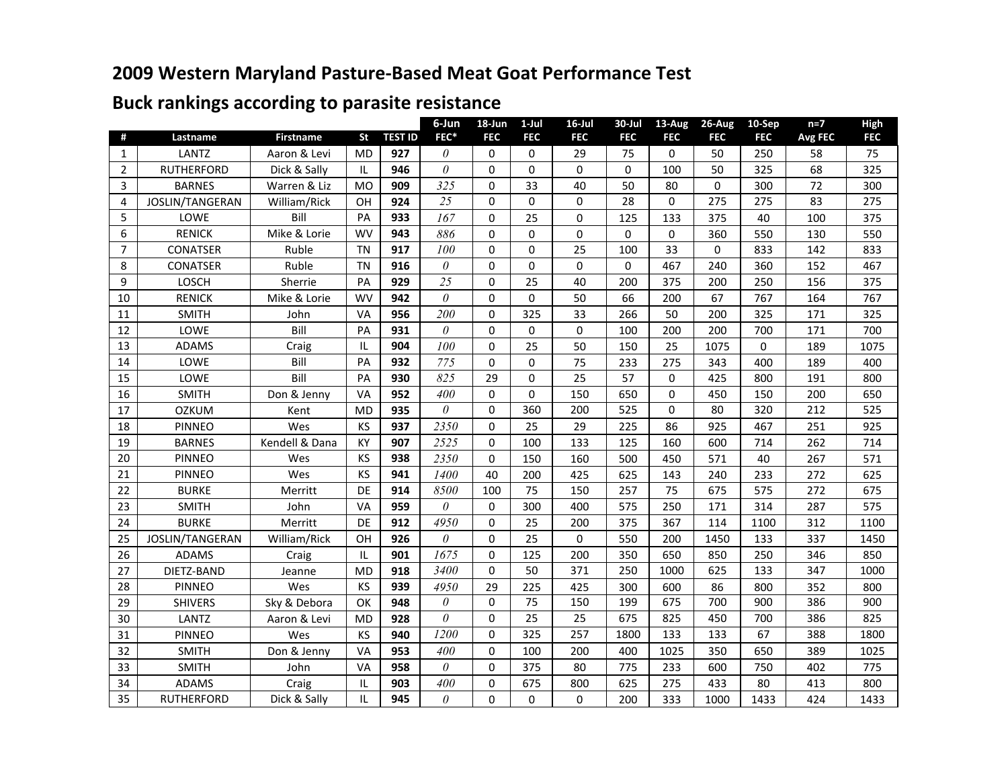## **2009 Western Maryland Pasture-Based Meat Goat Performance Test**

## **Buck rankings according to parasite resistance**

|                |                   |                  |           |                | 6-Jun    | 18-Jun      | $1-Jul$     | $16$ -Jul   | $30 -$ Jul | 13-Aug     | 26-Aug         | 10-Sep     | $n=7$          | High       |
|----------------|-------------------|------------------|-----------|----------------|----------|-------------|-------------|-------------|------------|------------|----------------|------------|----------------|------------|
| #              | Lastname          | <b>Firstname</b> | <b>St</b> | <b>TEST ID</b> | FEC*     | <b>FEC</b>  | <b>FEC</b>  | <b>FEC</b>  | <b>FEC</b> | <b>FEC</b> | <b>FEC</b>     | <b>FEC</b> | <b>Avg FEC</b> | <b>FEC</b> |
| $\mathbf{1}$   | LANTZ             | Aaron & Levi     | <b>MD</b> | 927            | 0        | $\mathbf 0$ | 0           | 29          | 75         | $\Omega$   | 50             | 250        | 58             | 75         |
| 2              | <b>RUTHERFORD</b> | Dick & Sally     | ΙL        | 946            | 0        | $\mathbf 0$ | $\Omega$    | $\mathbf 0$ | $\Omega$   | 100        | 50             | 325        | 68             | 325        |
| 3              | <b>BARNES</b>     | Warren & Liz     | <b>MO</b> | 909            | 325      | $\mathbf 0$ | 33          | 40          | 50         | 80         | $\overline{0}$ | 300        | 72             | 300        |
| 4              | JOSLIN/TANGERAN   | William/Rick     | OH        | 924            | 25       | $\mathbf 0$ | 0           | $\mathbf 0$ | 28         | $\Omega$   | 275            | 275        | 83             | 275        |
| 5              | LOWE              | Bill             | PA        | 933            | 167      | $\mathbf 0$ | 25          | 0           | 125        | 133        | 375            | 40         | 100            | 375        |
| 6              | <b>RENICK</b>     | Mike & Lorie     | <b>WV</b> | 943            | 886      | $\mathbf 0$ | $\mathbf 0$ | 0           | 0          | $\Omega$   | 360            | 550        | 130            | 550        |
| $\overline{7}$ | <b>CONATSER</b>   | Ruble            | <b>TN</b> | 917            | 100      | $\Omega$    | 0           | 25          | 100        | 33         | $\Omega$       | 833        | 142            | 833        |
| 8              | <b>CONATSER</b>   | Ruble            | <b>TN</b> | 916            | $\theta$ | $\pmb{0}$   | 0           | $\pmb{0}$   | 0          | 467        | 240            | 360        | 152            | 467        |
| 9              | LOSCH             | Sherrie          | PA        | 929            | 25       | $\mathbf 0$ | 25          | 40          | 200        | 375        | 200            | 250        | 156            | 375        |
| 10             | <b>RENICK</b>     | Mike & Lorie     | <b>WV</b> | 942            | $\theta$ | $\mathbf 0$ | 0           | 50          | 66         | 200        | 67             | 767        | 164            | 767        |
| 11             | <b>SMITH</b>      | John             | VA        | 956            | 200      | $\pmb{0}$   | 325         | 33          | 266        | 50         | 200            | 325        | 171            | 325        |
| 12             | LOWE              | Bill             | PA        | 931            | $\theta$ | $\mathbf 0$ | $\mathbf 0$ | $\mathbf 0$ | 100        | 200        | 200            | 700        | 171            | 700        |
| 13             | <b>ADAMS</b>      | Craig            | IL        | 904            | 100      | $\mathbf 0$ | 25          | 50          | 150        | 25         | 1075           | 0          | 189            | 1075       |
| 14             | LOWE              | Bill             | PA        | 932            | 775      | $\mathbf 0$ | 0           | 75          | 233        | 275        | 343            | 400        | 189            | 400        |
| 15             | LOWE              | Bill             | PA        | 930            | 825      | 29          | 0           | 25          | 57         | $\Omega$   | 425            | 800        | 191            | 800        |
| 16             | <b>SMITH</b>      | Don & Jenny      | VA        | 952            | 400      | $\mathbf 0$ | $\Omega$    | 150         | 650        | $\Omega$   | 450            | 150        | 200            | 650        |
| 17             | <b>OZKUM</b>      | Kent             | <b>MD</b> | 935            | $\theta$ | $\mathbf 0$ | 360         | 200         | 525        | $\Omega$   | 80             | 320        | 212            | 525        |
| 18             | <b>PINNEO</b>     | Wes              | KS        | 937            | 2350     | $\mathbf 0$ | 25          | 29          | 225        | 86         | 925            | 467        | 251            | 925        |
| 19             | <b>BARNES</b>     | Kendell & Dana   | KY        | 907            | 2525     | $\mathbf 0$ | 100         | 133         | 125        | 160        | 600            | 714        | 262            | 714        |
| 20             | <b>PINNEO</b>     | Wes              | KS        | 938            | 2350     | $\Omega$    | 150         | 160         | 500        | 450        | 571            | 40         | 267            | 571        |
| 21             | <b>PINNEO</b>     | Wes              | KS        | 941            | 1400     | 40          | 200         | 425         | 625        | 143        | 240            | 233        | 272            | 625        |
| 22             | <b>BURKE</b>      | Merritt          | DE        | 914            | 8500     | 100         | 75          | 150         | 257        | 75         | 675            | 575        | 272            | 675        |
| 23             | <b>SMITH</b>      | John             | VA        | 959            | 0        | $\mathbf 0$ | 300         | 400         | 575        | 250        | 171            | 314        | 287            | 575        |
| 24             | <b>BURKE</b>      | Merritt          | DE        | 912            | 4950     | $\mathbf 0$ | 25          | 200         | 375        | 367        | 114            | 1100       | 312            | 1100       |
| 25             | JOSLIN/TANGERAN   | William/Rick     | OH        | 926            | $\theta$ | $\mathbf 0$ | 25          | $\mathbf 0$ | 550        | 200        | 1450           | 133        | 337            | 1450       |
| 26             | <b>ADAMS</b>      | Craig            | IL        | 901            | 1675     | $\mathbf 0$ | 125         | 200         | 350        | 650        | 850            | 250        | 346            | 850        |
| 27             | DIETZ-BAND        | Jeanne           | <b>MD</b> | 918            | 3400     | $\mathbf 0$ | 50          | 371         | 250        | 1000       | 625            | 133        | 347            | 1000       |
| 28             | <b>PINNEO</b>     | Wes              | KS        | 939            | 4950     | 29          | 225         | 425         | 300        | 600        | 86             | 800        | 352            | 800        |
| 29             | <b>SHIVERS</b>    | Sky & Debora     | OK        | 948            | $\theta$ | $\mathbf 0$ | 75          | 150         | 199        | 675        | 700            | 900        | 386            | 900        |
| 30             | LANTZ             | Aaron & Levi     | <b>MD</b> | 928            | $\theta$ | $\mathbf 0$ | 25          | 25          | 675        | 825        | 450            | 700        | 386            | 825        |
| 31             | <b>PINNEO</b>     | Wes              | KS        | 940            | 1200     | $\mathbf 0$ | 325         | 257         | 1800       | 133        | 133            | 67         | 388            | 1800       |
| 32             | <b>SMITH</b>      | Don & Jenny      | VA        | 953            | 400      | $\mathbf 0$ | 100         | 200         | 400        | 1025       | 350            | 650        | 389            | 1025       |
| 33             | <b>SMITH</b>      | John             | VA        | 958            | $\theta$ | $\mathbf 0$ | 375         | 80          | 775        | 233        | 600            | 750        | 402            | 775        |
| 34             | <b>ADAMS</b>      | Craig            | IL        | 903            | 400      | $\mathbf 0$ | 675         | 800         | 625        | 275        | 433            | 80         | 413            | 800        |
| 35             | <b>RUTHERFORD</b> | Dick & Sally     | IL        | 945            | $\theta$ | $\mathbf 0$ | 0           | $\mathbf 0$ | 200        | 333        | 1000           | 1433       | 424            | 1433       |